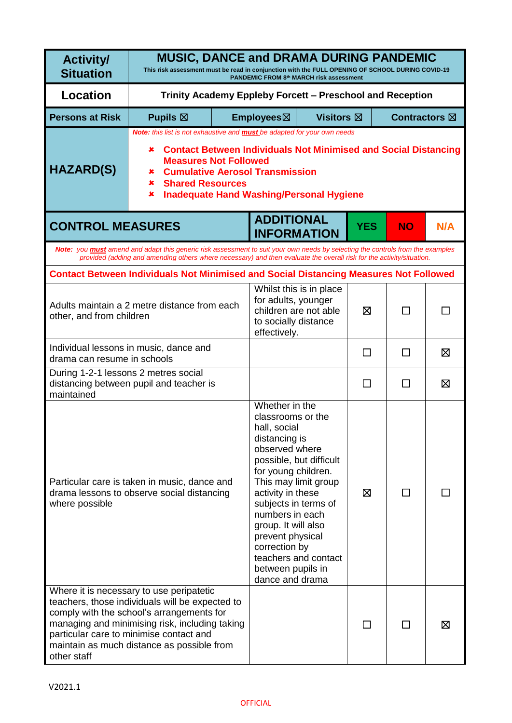| <b>Activity/</b><br><b>Situation</b>                                                                                                                                                                                                                                                               | <b>MUSIC, DANCE and DRAMA DURING PANDEMIC</b><br>This risk assessment must be read in conjunction with the FULL OPENING OF SCHOOL DURING COVID-19<br>PANDEMIC FROM 8th MARCH risk assessment                                                                  |                                                                                                                                                                                                                                                                                                                                            |                                                             |                                                  |              |                         |     |  |
|----------------------------------------------------------------------------------------------------------------------------------------------------------------------------------------------------------------------------------------------------------------------------------------------------|---------------------------------------------------------------------------------------------------------------------------------------------------------------------------------------------------------------------------------------------------------------|--------------------------------------------------------------------------------------------------------------------------------------------------------------------------------------------------------------------------------------------------------------------------------------------------------------------------------------------|-------------------------------------------------------------|--------------------------------------------------|--------------|-------------------------|-----|--|
| <b>Location</b>                                                                                                                                                                                                                                                                                    | Trinity Academy Eppleby Forcett - Preschool and Reception                                                                                                                                                                                                     |                                                                                                                                                                                                                                                                                                                                            |                                                             |                                                  |              |                         |     |  |
| <b>Persons at Risk</b>                                                                                                                                                                                                                                                                             | Pupils $\boxtimes$                                                                                                                                                                                                                                            |                                                                                                                                                                                                                                                                                                                                            | Employees⊠                                                  | <b>Visitors</b> ⊠                                |              | Contractors $\boxtimes$ |     |  |
| <b>HAZARD(S)</b>                                                                                                                                                                                                                                                                                   | ×<br>×<br>×<br>×                                                                                                                                                                                                                                              | Note: this list is not exhaustive and <b>must</b> be adapted for your own needs<br><b>Contact Between Individuals Not Minimised and Social Distancing</b><br><b>Measures Not Followed</b><br><b>Cumulative Aerosol Transmission</b><br><b>Shared Resources</b><br><b>Inadequate Hand Washing/Personal Hygiene</b>                          |                                                             |                                                  |              |                         |     |  |
| <b>CONTROL MEASURES</b>                                                                                                                                                                                                                                                                            |                                                                                                                                                                                                                                                               |                                                                                                                                                                                                                                                                                                                                            | <b>ADDITIONAL</b><br><b>INFORMATION</b>                     |                                                  | <b>YES</b>   | <b>NO</b>               | N/A |  |
|                                                                                                                                                                                                                                                                                                    | Note: you <b>must</b> amend and adapt this generic risk assessment to suit your own needs by selecting the controls from the examples<br>provided (adding and amending others where necessary) and then evaluate the overall risk for the activity/situation. |                                                                                                                                                                                                                                                                                                                                            |                                                             |                                                  |              |                         |     |  |
|                                                                                                                                                                                                                                                                                                    | <b>Contact Between Individuals Not Minimised and Social Distancing Measures Not Followed</b>                                                                                                                                                                  |                                                                                                                                                                                                                                                                                                                                            |                                                             |                                                  |              |                         |     |  |
| Adults maintain a 2 metre distance from each<br>other, and from children                                                                                                                                                                                                                           |                                                                                                                                                                                                                                                               |                                                                                                                                                                                                                                                                                                                                            | for adults, younger<br>to socially distance<br>effectively. | Whilst this is in place<br>children are not able | ⊠            |                         |     |  |
| Individual lessons in music, dance and<br>drama can resume in schools                                                                                                                                                                                                                              |                                                                                                                                                                                                                                                               |                                                                                                                                                                                                                                                                                                                                            |                                                             |                                                  | ΙI           |                         | ⊠   |  |
| During 1-2-1 lessons 2 metres social<br>distancing between pupil and teacher is<br>maintained                                                                                                                                                                                                      |                                                                                                                                                                                                                                                               |                                                                                                                                                                                                                                                                                                                                            |                                                             |                                                  | ΙI           |                         | ⊠   |  |
| Particular care is taken in music, dance and<br>drama lessons to observe social distancing<br>where possible                                                                                                                                                                                       |                                                                                                                                                                                                                                                               | classrooms or the<br>hall, social<br>distancing is<br>observed where<br>possible, but difficult<br>for young children.<br>This may limit group<br>activity in these<br>subjects in terms of<br>numbers in each<br>group. It will also<br>prevent physical<br>correction by<br>teachers and contact<br>between pupils in<br>dance and drama |                                                             | ⊠                                                | $\mathsf{L}$ |                         |     |  |
| Where it is necessary to use peripatetic<br>teachers, those individuals will be expected to<br>comply with the school's arrangements for<br>managing and minimising risk, including taking<br>particular care to minimise contact and<br>maintain as much distance as possible from<br>other staff |                                                                                                                                                                                                                                                               |                                                                                                                                                                                                                                                                                                                                            |                                                             |                                                  |              |                         | ⊠   |  |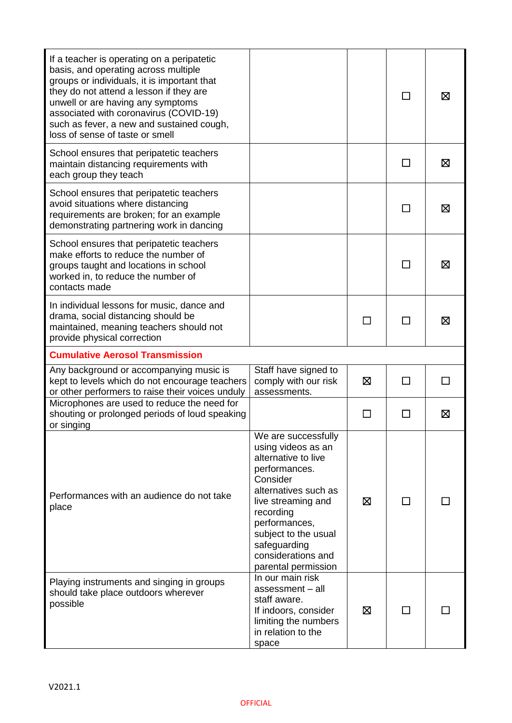| If a teacher is operating on a peripatetic<br>basis, and operating across multiple<br>groups or individuals, it is important that<br>they do not attend a lesson if they are<br>unwell or are having any symptoms<br>associated with coronavirus (COVID-19)<br>such as fever, a new and sustained cough,<br>loss of sense of taste or smell |                                                                                                                                                                                                                                                                |   | $\mathsf{L}$ | ⊠ |
|---------------------------------------------------------------------------------------------------------------------------------------------------------------------------------------------------------------------------------------------------------------------------------------------------------------------------------------------|----------------------------------------------------------------------------------------------------------------------------------------------------------------------------------------------------------------------------------------------------------------|---|--------------|---|
| School ensures that peripatetic teachers<br>maintain distancing requirements with<br>each group they teach                                                                                                                                                                                                                                  |                                                                                                                                                                                                                                                                |   | $\mathsf{L}$ | X |
| School ensures that peripatetic teachers<br>avoid situations where distancing<br>requirements are broken; for an example<br>demonstrating partnering work in dancing                                                                                                                                                                        |                                                                                                                                                                                                                                                                |   | $\mathbf{I}$ | ⊠ |
| School ensures that peripatetic teachers<br>make efforts to reduce the number of<br>groups taught and locations in school<br>worked in, to reduce the number of<br>contacts made                                                                                                                                                            |                                                                                                                                                                                                                                                                |   |              | ⊠ |
| In individual lessons for music, dance and<br>drama, social distancing should be<br>maintained, meaning teachers should not<br>provide physical correction                                                                                                                                                                                  |                                                                                                                                                                                                                                                                |   |              | ⊠ |
| <b>Cumulative Aerosol Transmission</b>                                                                                                                                                                                                                                                                                                      |                                                                                                                                                                                                                                                                |   |              |   |
| Any background or accompanying music is<br>kept to levels which do not encourage teachers<br>or other performers to raise their voices unduly                                                                                                                                                                                               | Staff have signed to<br>comply with our risk<br>assessments.                                                                                                                                                                                                   | ⊠ |              |   |
| Microphones are used to reduce the need for<br>shouting or prolonged periods of loud speaking<br>or singing                                                                                                                                                                                                                                 |                                                                                                                                                                                                                                                                |   |              | ⊠ |
| Performances with an audience do not take<br>place                                                                                                                                                                                                                                                                                          | We are successfully<br>using videos as an<br>alternative to live<br>performances.<br>Consider<br>alternatives such as<br>live streaming and<br>recording<br>performances,<br>subject to the usual<br>safeguarding<br>considerations and<br>parental permission | ⊠ | ΙI           |   |
| Playing instruments and singing in groups<br>should take place outdoors wherever<br>possible                                                                                                                                                                                                                                                | In our main risk<br>assessment - all<br>staff aware.<br>If indoors, consider<br>limiting the numbers<br>in relation to the<br>space                                                                                                                            | ⊠ |              |   |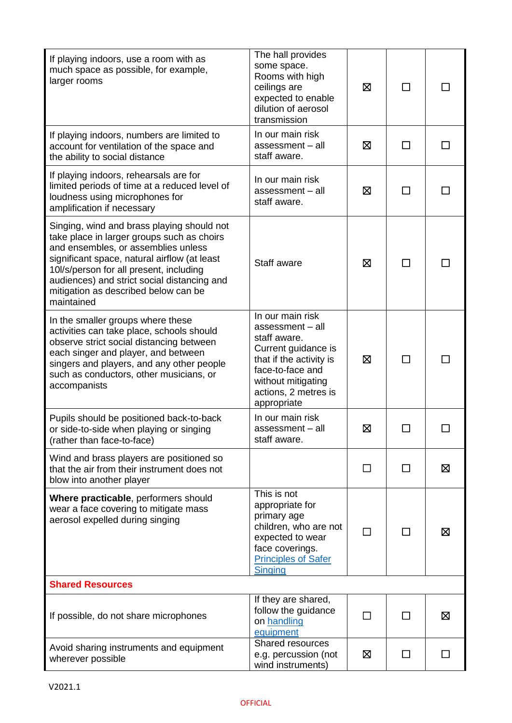| If playing indoors, use a room with as<br>much space as possible, for example,<br>larger rooms                                                                                                                                                                                                                                  | The hall provides<br>some space.<br>Rooms with high<br>ceilings are<br>expected to enable<br>dilution of aerosol<br>transmission                                                        | ⊠ | $\blacksquare$ |   |
|---------------------------------------------------------------------------------------------------------------------------------------------------------------------------------------------------------------------------------------------------------------------------------------------------------------------------------|-----------------------------------------------------------------------------------------------------------------------------------------------------------------------------------------|---|----------------|---|
| If playing indoors, numbers are limited to<br>account for ventilation of the space and<br>the ability to social distance                                                                                                                                                                                                        | In our main risk<br>assessment - all<br>staff aware.                                                                                                                                    | ⊠ | $\Box$         |   |
| If playing indoors, rehearsals are for<br>limited periods of time at a reduced level of<br>loudness using microphones for<br>amplification if necessary                                                                                                                                                                         | In our main risk<br>assessment - all<br>staff aware.                                                                                                                                    | ⊠ | П              |   |
| Singing, wind and brass playing should not<br>take place in larger groups such as choirs<br>and ensembles, or assemblies unless<br>significant space, natural airflow (at least<br>10l/s/person for all present, including<br>audiences) and strict social distancing and<br>mitigation as described below can be<br>maintained | Staff aware                                                                                                                                                                             | ⊠ | $\Box$         |   |
| In the smaller groups where these<br>activities can take place, schools should<br>observe strict social distancing between<br>each singer and player, and between<br>singers and players, and any other people<br>such as conductors, other musicians, or<br>accompanists                                                       | In our main risk<br>assessment - all<br>staff aware.<br>Current guidance is<br>that if the activity is<br>face-to-face and<br>without mitigating<br>actions, 2 metres is<br>appropriate | ⊠ | П              |   |
| Pupils should be positioned back-to-back<br>or side-to-side when playing or singing<br>(rather than face-to-face)                                                                                                                                                                                                               | In our main risk<br>assessment - all<br>staff aware.                                                                                                                                    | ⊠ |                |   |
| Wind and brass players are positioned so<br>that the air from their instrument does not<br>blow into another player                                                                                                                                                                                                             |                                                                                                                                                                                         | П | $\mathsf{L}$   | ⊠ |
| Where practicable, performers should<br>wear a face covering to mitigate mass<br>aerosol expelled during singing                                                                                                                                                                                                                | This is not<br>appropriate for<br>primary age<br>children, who are not<br>expected to wear<br>face coverings.<br><b>Principles of Safer</b><br><b>Singing</b>                           | □ | $\Box$         | ⊠ |
| <b>Shared Resources</b>                                                                                                                                                                                                                                                                                                         |                                                                                                                                                                                         |   |                |   |
| If possible, do not share microphones                                                                                                                                                                                                                                                                                           | If they are shared,<br>follow the guidance<br>on handling<br>equipment                                                                                                                  | П | П              | 区 |
| Avoid sharing instruments and equipment<br>wherever possible                                                                                                                                                                                                                                                                    | Shared resources<br>e.g. percussion (not<br>wind instruments)                                                                                                                           | ⊠ | $\Box$         |   |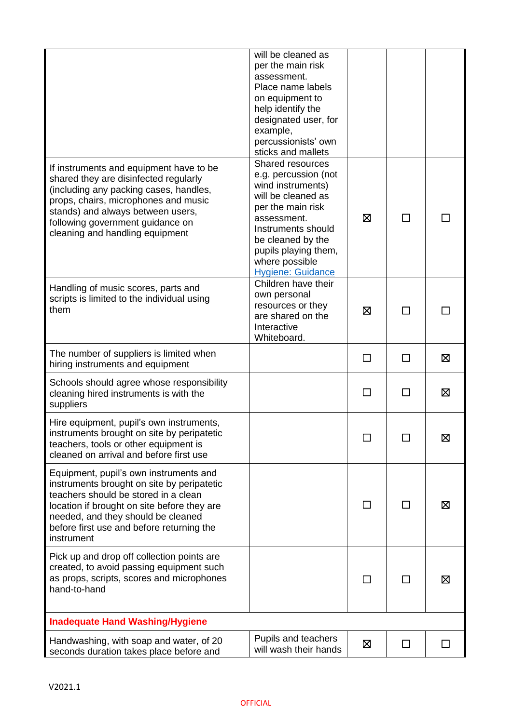|                                                                                                                                                                                                                                                                                | will be cleaned as<br>per the main risk<br>assessment.<br>Place name labels<br>on equipment to<br>help identify the<br>designated user, for<br>example,<br>percussionists' own<br>sticks and mallets                                     |    |              |   |
|--------------------------------------------------------------------------------------------------------------------------------------------------------------------------------------------------------------------------------------------------------------------------------|------------------------------------------------------------------------------------------------------------------------------------------------------------------------------------------------------------------------------------------|----|--------------|---|
| If instruments and equipment have to be<br>shared they are disinfected regularly<br>(including any packing cases, handles,<br>props, chairs, microphones and music<br>stands) and always between users,<br>following government guidance on<br>cleaning and handling equipment | Shared resources<br>e.g. percussion (not<br>wind instruments)<br>will be cleaned as<br>per the main risk<br>assessment.<br>Instruments should<br>be cleaned by the<br>pupils playing them,<br>where possible<br><b>Hygiene: Guidance</b> | ⊠  |              |   |
| Handling of music scores, parts and<br>scripts is limited to the individual using<br>them                                                                                                                                                                                      | Children have their<br>own personal<br>resources or they<br>are shared on the<br>Interactive<br>Whiteboard.                                                                                                                              | ⊠  |              |   |
| The number of suppliers is limited when<br>hiring instruments and equipment                                                                                                                                                                                                    |                                                                                                                                                                                                                                          | ΙI | $\mathbf{I}$ | ⊠ |
| Schools should agree whose responsibility<br>cleaning hired instruments is with the<br>suppliers                                                                                                                                                                               |                                                                                                                                                                                                                                          | ΙI |              | 区 |
| Hire equipment, pupil's own instruments,<br>instruments brought on site by peripatetic<br>teachers, tools or other equipment is<br>cleaned on arrival and before first use                                                                                                     |                                                                                                                                                                                                                                          |    |              | 区 |
| Equipment, pupil's own instruments and<br>instruments brought on site by peripatetic<br>teachers should be stored in a clean<br>location if brought on site before they are<br>needed, and they should be cleaned<br>before first use and before returning the<br>instrument   |                                                                                                                                                                                                                                          |    |              | ⊠ |
| Pick up and drop off collection points are<br>created, to avoid passing equipment such<br>as props, scripts, scores and microphones<br>hand-to-hand                                                                                                                            |                                                                                                                                                                                                                                          |    |              | ⊠ |
| <b>Inadequate Hand Washing/Hygiene</b>                                                                                                                                                                                                                                         |                                                                                                                                                                                                                                          |    |              |   |
| Handwashing, with soap and water, of 20<br>seconds duration takes place before and                                                                                                                                                                                             | Pupils and teachers<br>will wash their hands                                                                                                                                                                                             | ⊠  | $\mathsf{L}$ |   |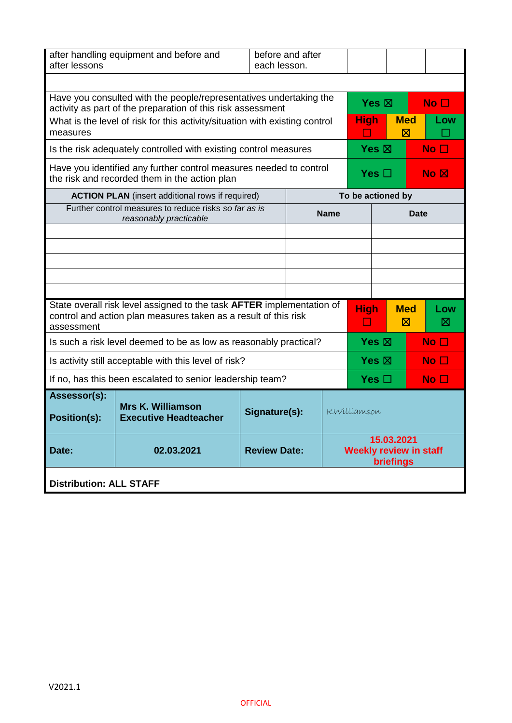| after lessons                                                                                                                   | after handling equipment and before and<br>before and after<br>each lesson.                                                              |  |  |                 |                                                          |                   |                           |                    |
|---------------------------------------------------------------------------------------------------------------------------------|------------------------------------------------------------------------------------------------------------------------------------------|--|--|-----------------|----------------------------------------------------------|-------------------|---------------------------|--------------------|
|                                                                                                                                 | Have you consulted with the people/representatives undertaking the<br>activity as part of the preparation of this risk assessment        |  |  | Yes $\boxtimes$ |                                                          | No <sub>1</sub>   |                           |                    |
| measures                                                                                                                        | What is the level of risk for this activity/situation with existing control                                                              |  |  |                 | <b>High</b><br>$\mathcal{L}^{\mathcal{A}}$               |                   | <b>Med</b><br>$\boxtimes$ | Low<br><b>Tale</b> |
|                                                                                                                                 | Is the risk adequately controlled with existing control measures                                                                         |  |  |                 | Yes $\boxtimes$                                          |                   |                           | No <sub>1</sub>    |
|                                                                                                                                 | Have you identified any further control measures needed to control<br>the risk and recorded them in the action plan                      |  |  |                 | Yes $\square$                                            |                   |                           | No <sub>N</sub>    |
|                                                                                                                                 | <b>ACTION PLAN</b> (insert additional rows if required)                                                                                  |  |  |                 |                                                          | To be actioned by |                           |                    |
|                                                                                                                                 | Further control measures to reduce risks so far as is<br>reasonably practicable                                                          |  |  | <b>Name</b>     | <b>Date</b>                                              |                   |                           |                    |
|                                                                                                                                 |                                                                                                                                          |  |  |                 |                                                          |                   |                           |                    |
|                                                                                                                                 |                                                                                                                                          |  |  |                 |                                                          |                   |                           |                    |
|                                                                                                                                 |                                                                                                                                          |  |  |                 |                                                          |                   |                           |                    |
|                                                                                                                                 |                                                                                                                                          |  |  |                 |                                                          |                   |                           |                    |
| assessment                                                                                                                      | State overall risk level assigned to the task AFTER implementation of<br>control and action plan measures taken as a result of this risk |  |  |                 | <b>High</b><br>ப                                         |                   | <b>Med</b><br>⊠           | Low<br>⊠           |
|                                                                                                                                 | Is such a risk level deemed to be as low as reasonably practical?                                                                        |  |  |                 |                                                          | Yes $\boxtimes$   |                           | No <sub>1</sub>    |
|                                                                                                                                 | Is activity still acceptable with this level of risk?                                                                                    |  |  |                 | Yes $\boxtimes$                                          |                   |                           | No <sub>1</sub>    |
|                                                                                                                                 | If no, has this been escalated to senior leadership team?                                                                                |  |  |                 | Yes $\Box$                                               |                   |                           | No <sub>1</sub>    |
| Assessor(s):<br><b>Mrs K. Williamson</b><br>Signature(s):<br>KWilliamson<br><b>Position(s):</b><br><b>Executive Headteacher</b> |                                                                                                                                          |  |  |                 |                                                          |                   |                           |                    |
| 02.03.2021<br><b>Review Date:</b><br>Date:                                                                                      |                                                                                                                                          |  |  |                 | 15.03.2021<br><b>Weekly review in staff</b><br>briefings |                   |                           |                    |
| <b>Distribution: ALL STAFF</b>                                                                                                  |                                                                                                                                          |  |  |                 |                                                          |                   |                           |                    |